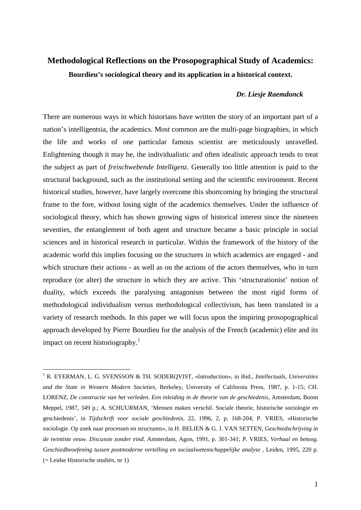# **Methodological Reflections on the Prosopographical Study of Academics: Bourdieu's sociological theory and its application in a historical context.**

# *Dr. Liesje Raemdonck*

There are numerous ways in which historians have written the story of an important part of a nation's intelligentsia, the academics. Most common are the multi-page biographies, in which the life and works of one particular famous scientist are meticulously unravelled. Enlightening though it may be, the individualistic and often idealistic approach tends to treat the subject as part of *freischwebende Intelligenz*. Generally too little attention is paid to the structural background, such as the institutional setting and the scientific environment. Recent historical studies, however, have largely overcome this shortcoming by bringing the structural frame to the fore, without losing sight of the academics themselves. Under the influence of sociological theory, which has shown growing signs of historical interest since the nineteen seventies, the entanglement of both agent and structure became a basic principle in social sciences and in historical research in particular. Within the framework of the history of the academic world this implies focusing on the structures in which academics are engaged - and which structure their actions - as well as on the actions of the actors themselves, who in turn reproduce (or alter) the structure in which they are active. This 'structurationist' notion of duality, which exceeds the paralysing antagonism between the most rigid forms of methodological individualism versus methodological collectivism, has been translated in a variety of research methods. In this paper we will focus upon the inspiring prosopographical approach developed by Pierre Bourdieu for the analysis of the French (academic) elite and its impact on recent historiography. $\frac{1}{1}$ 

<sup>1</sup> R. EYERMAN, L. G. SVENSSON & TH. SODERQVIST, «Introduction», in ibid., *Intellectuals, Universities and the State in Western Modern Societies*, Berkeley, University of California Press, 1987, p. 1-15; CH. LORENZ, *De constructie van het verleden. Een inleiding in de theorie van de geschiedenis*, Amsterdam, Boom Meppel, 1987, 349 p.; A. SCHUURMAN, 'Mensen maken verschil. Sociale theorie, historische sociologie en geschiedenis', in *Tijdschrift voor sociale geschiedenis*, 22, 1996, 2, p. 168-204; P. VRIES, «Historische sociologie. Op zoek naar processen en structuren», in H. BELIEN & G. J. VAN SETTEN, *Geschiedschrijving in de twintiste eeuw. Discussie zonder eind*. Amsterdam, Agon, 1991, p. 301-341; P. VRIES, *Verhaal en betoog. Geschiedbeoefening tussen postmoderne vertelling en sociaalwetenschappelijke analyse* , Leiden, 1995, 220 p. (= Leidse Historische studiën, nr 1)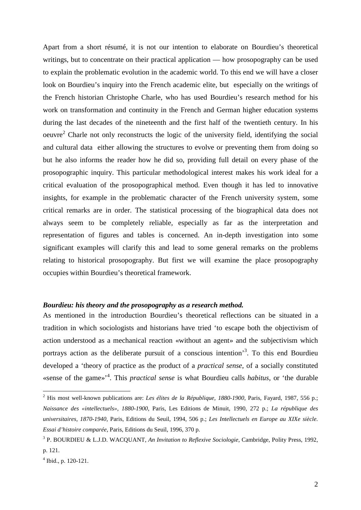Apart from a short résumé, it is not our intention to elaborate on Bourdieu's theoretical writings, but to concentrate on their practical application — how prosopography can be used to explain the problematic evolution in the academic world. To this end we will have a closer look on Bourdieu's inquiry into the French academic elite, but especially on the writings of the French historian Christophe Charle, who has used Bourdieu's research method for his work on transformation and continuity in the French and German higher education systems during the last decades of the nineteenth and the first half of the twentieth century. In his  $\alpha$  ceuvre<sup>2</sup> Charle not only reconstructs the logic of the university field, identifying the social and cultural data either allowing the structures to evolve or preventing them from doing so but he also informs the reader how he did so, providing full detail on every phase of the prosopographic inquiry. This particular methodological interest makes his work ideal for a critical evaluation of the prosopographical method. Even though it has led to innovative insights, for example in the problematic character of the French university system, some critical remarks are in order. The statistical processing of the biographical data does not always seem to be completely reliable, especially as far as the interpretation and representation of figures and tables is concerned. An in-depth investigation into some significant examples will clarify this and lead to some general remarks on the problems relating to historical prosopography. But first we will examine the place prosopography occupies within Bourdieu's theoretical framework.

## *Bourdieu: his theory and the prosopography as a research method.*

As mentioned in the introduction Bourdieu's theoretical reflections can be situated in a tradition in which sociologists and historians have tried 'to escape both the objectivism of action understood as a mechanical reaction «without an agent» and the subjectivism which portrays action as the deliberate pursuit of a conscious intention<sup>3</sup>. To this end Bourdieu developed a 'theory of practice as the product of a *practical sense*, of a socially constituted «sense of the game»'<sup>4</sup> . This *practical sense* is what Bourdieu calls *habitus*, or 'the durable

 2 His most well-known publications are: *Les élites de la République, 1880-1900*, Paris, Fayard, 1987, 556 p.; *Naissance des «intellectuels», 1880-1900*, Paris, Les Editions de Minuit, 1990, 272 p.; *La république des universitaires, 1870-1940*, Paris, Editions du Seuil, 1994, 506 p.; *Les Intellectuels en Europe au XIXe siècle. Essai d'histoire comparée*, Paris, Editions du Seuil, 1996, 370 p.

<sup>3</sup> P. BOURDIEU & L.J.D. WACQUANT, *An Invitation to Reflexive Sociologie*, Cambridge, Polity Press, 1992, p. 121.

<sup>4</sup> Ibid., p. 120-121.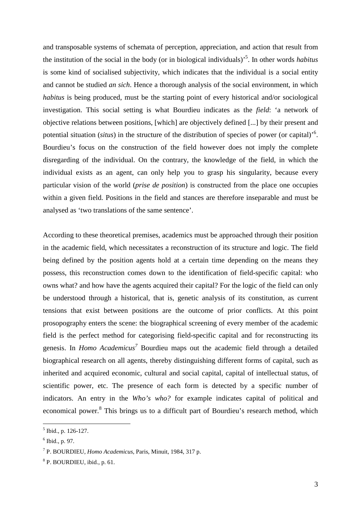and transposable systems of schemata of perception, appreciation, and action that result from the institution of the social in the body (or in biological individuals)'<sup>5</sup> . In other words *habitus* is some kind of socialised subjectivity, which indicates that the individual is a social entity and cannot be studied *an sich*. Hence a thorough analysis of the social environment, in which *habitus* is being produced, must be the starting point of every historical and/or sociological investigation. This social setting is what Bourdieu indicates as the *field*: 'a network of objective relations between positions, [which] are objectively defined [...] by their present and potential situation (*situs*) in the structure of the distribution of species of power (or capital)'<sup>6</sup> . Bourdieu's focus on the construction of the field however does not imply the complete disregarding of the individual. On the contrary, the knowledge of the field, in which the individual exists as an agent, can only help you to grasp his singularity, because every particular vision of the world (*prise de position*) is constructed from the place one occupies within a given field. Positions in the field and stances are therefore inseparable and must be analysed as 'two translations of the same sentence'.

According to these theoretical premises, academics must be approached through their position in the academic field, which necessitates a reconstruction of its structure and logic. The field being defined by the position agents hold at a certain time depending on the means they possess, this reconstruction comes down to the identification of field-specific capital: who owns what? and how have the agents acquired their capital? For the logic of the field can only be understood through a historical, that is, genetic analysis of its constitution, as current tensions that exist between positions are the outcome of prior conflicts. At this point prosopography enters the scene: the biographical screening of every member of the academic field is the perfect method for categorising field-specific capital and for reconstructing its genesis. In *Homo Academicus<sup>7</sup>* Bourdieu maps out the academic field through a detailed biographical research on all agents, thereby distinguishing different forms of capital, such as inherited and acquired economic, cultural and social capital, capital of intellectual status, of scientific power, etc. The presence of each form is detected by a specific number of indicators. An entry in the *Who's who?* for example indicates capital of political and economical power.<sup>8</sup> This brings us to a difficult part of Bourdieu's research method, which

<sup>5</sup> Ibid., p. 126-127.

 $<sup>6</sup>$  Ibid., p. 97.</sup>

<sup>7</sup> P. BOURDIEU, *Homo Academicus*, Paris, Minuit, 1984, 317 p.

<sup>8</sup> P. BOURDIEU, ibid., p. 61.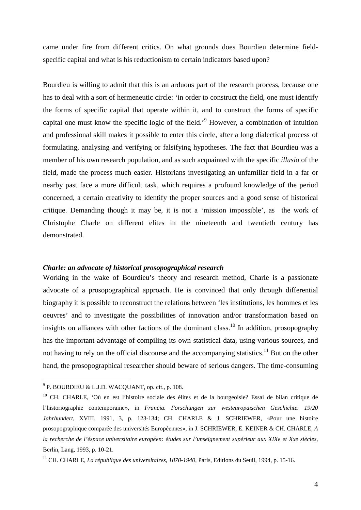came under fire from different critics. On what grounds does Bourdieu determine fieldspecific capital and what is his reductionism to certain indicators based upon?

Bourdieu is willing to admit that this is an arduous part of the research process, because one has to deal with a sort of hermeneutic circle: 'in order to construct the field, one must identify the forms of specific capital that operate within it, and to construct the forms of specific capital one must know the specific logic of the field.<sup>9</sup> However, a combination of intuition and professional skill makes it possible to enter this circle, after a long dialectical process of formulating, analysing and verifying or falsifying hypotheses. The fact that Bourdieu was a member of his own research population, and as such acquainted with the specific *illusio* of the field, made the process much easier. Historians investigating an unfamiliar field in a far or nearby past face a more difficult task, which requires a profound knowledge of the period concerned, a certain creativity to identify the proper sources and a good sense of historical critique. Demanding though it may be, it is not a 'mission impossible', as the work of Christophe Charle on different elites in the nineteenth and twentieth century has demonstrated.

#### *Charle: an advocate of historical prosopographical research*

Working in the wake of Bourdieu's theory and research method, Charle is a passionate advocate of a prosopographical approach. He is convinced that only through differential biography it is possible to reconstruct the relations between 'les institutions, les hommes et les oeuvres' and to investigate the possibilities of innovation and/or transformation based on insights on alliances with other factions of the dominant class.<sup>10</sup> In addition, prosopography has the important advantage of compiling its own statistical data, using various sources, and not having to rely on the official discourse and the accompanying statistics.<sup>11</sup> But on the other hand, the prosopographical researcher should beware of serious dangers. The time-consuming

<sup>&</sup>lt;sup>9</sup> P. BOURDIEU & L.J.D. WACQUANT, op. cit., p. 108.

<sup>&</sup>lt;sup>10</sup> CH. CHARLE, 'Où en est l'histoire sociale des élites et de la bourgeoisie? Essai de bilan critique de l'historiographie contemporaine», in *Francia. Forschungen zur westeuropaïschen Geschichte. 19/20 Jahrhundert*, XVIII, 1991, 3, p. 123-134; CH. CHARLE & J. SCHRIEWER, «Pour une histoire prosopographique comparée des universités Européennes», in J. SCHRIEWER, E. KEINER & CH. CHARLE, *A la recherche de l'éspace universitaire européen: études sur l'unseignement supérieur aux XIXe et Xxe siècles*, Berlin, Lang, 1993, p. 10-21.

<sup>&</sup>lt;sup>11</sup> CH. CHARLE, *La république des universitaires, 1870-1940*, Paris, Editions du Seuil, 1994, p. 15-16.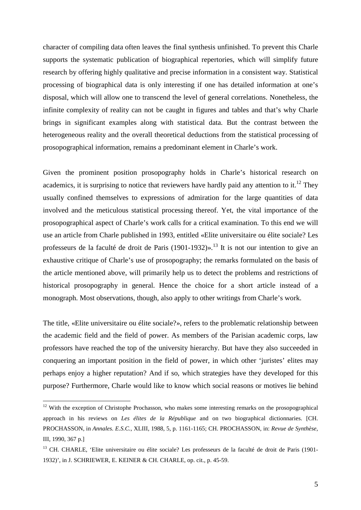character of compiling data often leaves the final synthesis unfinished. To prevent this Charle supports the systematic publication of biographical repertories, which will simplify future research by offering highly qualitative and precise information in a consistent way. Statistical processing of biographical data is only interesting if one has detailed information at one's disposal, which will allow one to transcend the level of general correlations. Nonetheless, the infinite complexity of reality can not be caught in figures and tables and that's why Charle brings in significant examples along with statistical data. But the contrast between the heterogeneous reality and the overall theoretical deductions from the statistical processing of prosopographical information, remains a predominant element in Charle's work.

Given the prominent position prosopography holds in Charle's historical research on academics, it is surprising to notice that reviewers have hardly paid any attention to it.<sup>12</sup> They usually confined themselves to expressions of admiration for the large quantities of data involved and the meticulous statistical processing thereof. Yet, the vital importance of the prosopographical aspect of Charle's work calls for a critical examination. To this end we will use an article from Charle published in 1993, entitled «Elite universitaire ou élite sociale? Les professeurs de la faculté de droit de Paris  $(1901-1932)$ ».<sup>13</sup> It is not our intention to give an exhaustive critique of Charle's use of prosopography; the remarks formulated on the basis of the article mentioned above, will primarily help us to detect the problems and restrictions of historical prosopography in general. Hence the choice for a short article instead of a monograph. Most observations, though, also apply to other writings from Charle's work.

The title, «Elite universitaire ou élite sociale?», refers to the problematic relationship between the academic field and the field of power. As members of the Parisian academic corps, law professors have reached the top of the university hierarchy. But have they also succeeded in conquering an important position in the field of power, in which other 'juristes' elites may perhaps enjoy a higher reputation? And if so, which strategies have they developed for this purpose? Furthermore, Charle would like to know which social reasons or motives lie behind

 $12$  With the exception of Christophe Prochasson, who makes some interesting remarks on the prosopographical approach in his reviews on *Les élites de la République* and on two biographical dictionnaries. [CH. PROCHASSON, in *Annales. E.S.C.*, XLIII, 1988, 5, p. 1161-1165; CH. PROCHASSON, in: *Revue de Synthèse*, III, 1990, 367 p.]

<sup>&</sup>lt;sup>13</sup> CH. CHARLE, 'Elite universitaire ou élite sociale? Les professeurs de la faculté de droit de Paris (1901-1932)', in J. SCHRIEWER, E. KEINER & CH. CHARLE, op. cit., p. 45-59.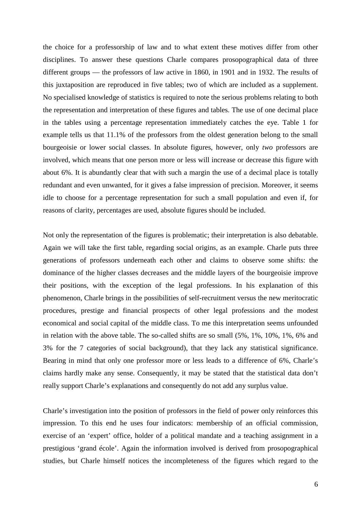the choice for a professorship of law and to what extent these motives differ from other disciplines. To answer these questions Charle compares prosopographical data of three different groups — the professors of law active in 1860, in 1901 and in 1932. The results of this juxtaposition are reproduced in five tables; two of which are included as a supplement. No specialised knowledge of statistics is required to note the serious problems relating to both the representation and interpretation of these figures and tables. The use of one decimal place in the tables using a percentage representation immediately catches the eye. Table 1 for example tells us that 11.1% of the professors from the oldest generation belong to the small bourgeoisie or lower social classes. In absolute figures, however, only *two* professors are involved, which means that one person more or less will increase or decrease this figure with about 6%. It is abundantly clear that with such a margin the use of a decimal place is totally redundant and even unwanted, for it gives a false impression of precision. Moreover, it seems idle to choose for a percentage representation for such a small population and even if, for reasons of clarity, percentages are used, absolute figures should be included.

Not only the representation of the figures is problematic; their interpretation is also debatable. Again we will take the first table, regarding social origins, as an example. Charle puts three generations of professors underneath each other and claims to observe some shifts: the dominance of the higher classes decreases and the middle layers of the bourgeoisie improve their positions, with the exception of the legal professions. In his explanation of this phenomenon, Charle brings in the possibilities of self-recruitment versus the new meritocratic procedures, prestige and financial prospects of other legal professions and the modest economical and social capital of the middle class. To me this interpretation seems unfounded in relation with the above table. The so-called shifts are so small (5%, 1%, 10%, 1%, 6% and 3% for the 7 categories of social background), that they lack any statistical significance. Bearing in mind that only one professor more or less leads to a difference of 6%, Charle's claims hardly make any sense. Consequently, it may be stated that the statistical data don't really support Charle's explanations and consequently do not add any surplus value.

Charle's investigation into the position of professors in the field of power only reinforces this impression. To this end he uses four indicators: membership of an official commission, exercise of an 'expert' office, holder of a political mandate and a teaching assignment in a prestigious 'grand école'. Again the information involved is derived from prosopographical studies, but Charle himself notices the incompleteness of the figures which regard to the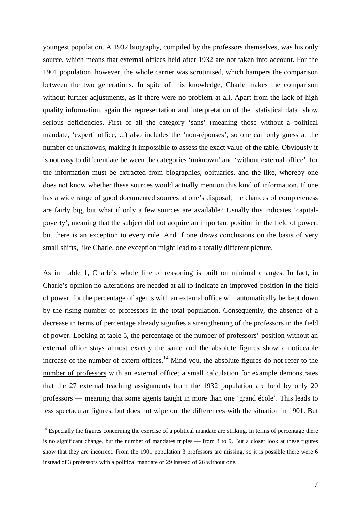youngest population. A 1932 biography, compiled by the professors themselves, was his only source, which means that external offices held after 1932 are not taken into account. For the 1901 population, however, the whole carrier was scrutinised, which hampers the comparison between the two generations. In spite of this knowledge, Charle makes the comparison without further adjustments, as if there were no problem at all. Apart from the lack of high quality information, again the representation and interpretation of the statistical data show serious deficiencies. First of all the category 'sans' (meaning those without a political mandate, 'expert' office, ...) also includes the 'non-réponses', so one can only guess at the number of unknowns, making it impossible to assess the exact value of the table. Obviously it is not easy to differentiate between the categories 'unknown' and 'without external office', for the information must be extracted from biographies, obituaries, and the like, whereby one does not know whether these sources would actually mention this kind of information. If one has a wide range of good documented sources at one's disposal, the chances of completeness are fairly big, but what if only a few sources are available? Usually this indicates 'capitalpoverty', meaning that the subject did not acquire an important position in the field of power, but there is an exception to every rule. And if one draws conclusions on the basis of very small shifts, like Charle, one exception might lead to a totally different picture.

As in table 1, Charle's whole line of reasoning is built on minimal changes. In fact, in Charle's opinion no alterations are needed at all to indicate an improved position in the field of power, for the percentage of agents with an external office will automatically be kept down by the rising number of professors in the total population. Consequently, the absence of a decrease in terms of percentage already signifies a strengthening of the professors in the field of power. Looking at table 5, the percentage of the number of professors' position without an external office stays almost exactly the same and the absolute figures show a noticeable increase of the number of extern offices.<sup>14</sup> Mind you, the absolute figures do not refer to the number of professors with an external office; a small calculation for example demonstrates that the 27 external teaching assignments from the 1932 population are held by only 20 professors — meaning that some agents taught in more than one 'grand école'. This leads to less spectacular figures, but does not wipe out the differences with the situation in 1901. But

 $14$  Especially the figures concerning the exercise of a political mandate are striking. In terms of percentage there is no significant change, but the number of mandates triples — from 3 to 9. But a closer look at these figures show that they are incorrect. From the 1901 population 3 professors are missing, so it is possible there were 6 instead of 3 professors with a political mandate or 29 instead of 26 without one.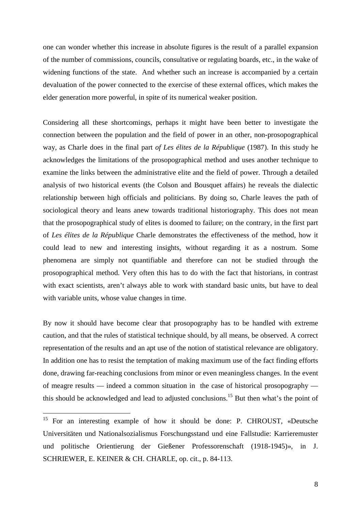one can wonder whether this increase in absolute figures is the result of a parallel expansion of the number of commissions, councils, consultative or regulating boards, etc., in the wake of widening functions of the state. And whether such an increase is accompanied by a certain devaluation of the power connected to the exercise of these external offices, which makes the elder generation more powerful, in spite of its numerical weaker position.

Considering all these shortcomings, perhaps it might have been better to investigate the connection between the population and the field of power in an other, non-prosopographical way, as Charle does in the final part *of Les élites de la République* (1987). In this study he acknowledges the limitations of the prosopographical method and uses another technique to examine the links between the administrative elite and the field of power. Through a detailed analysis of two historical events (the Colson and Bousquet affairs) he reveals the dialectic relationship between high officials and politicians. By doing so, Charle leaves the path of sociological theory and leans anew towards traditional historiography. This does not mean that the prosopographical study of elites is doomed to failure; on the contrary, in the first part of *Les élites de la République* Charle demonstrates the effectiveness of the method, how it could lead to new and interesting insights, without regarding it as a nostrum. Some phenomena are simply not quantifiable and therefore can not be studied through the prosopographical method. Very often this has to do with the fact that historians, in contrast with exact scientists, aren't always able to work with standard basic units, but have to deal with variable units, whose value changes in time.

By now it should have become clear that prosopography has to be handled with extreme caution, and that the rules of statistical technique should, by all means, be observed. A correct representation of the results and an apt use of the notion of statistical relevance are obligatory. In addition one has to resist the temptation of making maximum use of the fact finding efforts done, drawing far-reaching conclusions from minor or even meaningless changes. In the event of meagre results — indeed a common situation in the case of historical prosopography this should be acknowledged and lead to adjusted conclusions.<sup>15</sup> But then what's the point of

<sup>15</sup> For an interesting example of how it should be done: P. CHROUST, «Deutsche Universitäten und Nationalsozialismus Forschungsstand und eine Fallstudie: Karrieremuster und politische Orientierung der Gießener Professorenschaft (1918-1945)», in J. SCHRIEWER, E. KEINER & CH. CHARLE, op. cit., p. 84-113.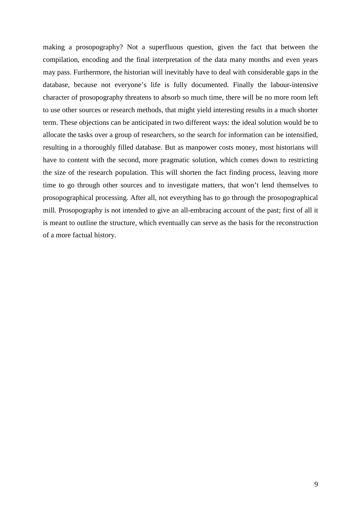making a prosopography? Not a superfluous question, given the fact that between the compilation, encoding and the final interpretation of the data many months and even years may pass. Furthermore, the historian will inevitably have to deal with considerable gaps in the database, because not everyone's life is fully documented. Finally the labour-intensive character of prosopography threatens to absorb so much time, there will be no more room left to use other sources or research methods, that might yield interesting results in a much shorter term. These objections can be anticipated in two different ways: the ideal solution would be to allocate the tasks over a group of researchers, so the search for information can be intensified, resulting in a thoroughly filled database. But as manpower costs money, most historians will have to content with the second, more pragmatic solution, which comes down to restricting the size of the research population. This will shorten the fact finding process, leaving more time to go through other sources and to investigate matters, that won't lend themselves to prosopographical processing. After all, not everything has to go through the prosopographical mill. Prosopography is not intended to give an all-embracing account of the past; first of all it is meant to outline the structure, which eventually can serve as the basis for the reconstruction of a more factual history.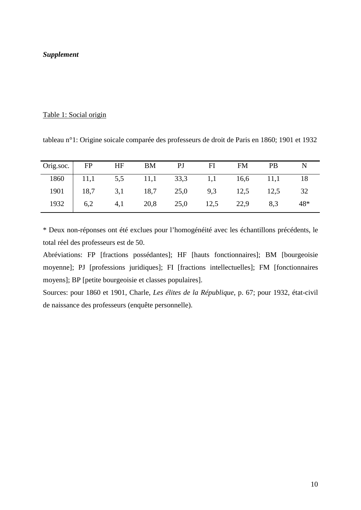## *Supplement*

# Table 1: Social origin

tableau n°1: Origine soicale comparée des professeurs de droit de Paris en 1860; 1901 et 1932

| Orig.soc. FP    | HF BM |                                            | PJ | FI | FM | <b>PB</b> |     |
|-----------------|-------|--------------------------------------------|----|----|----|-----------|-----|
|                 |       | 1860   11,1 5,5 11,1 33,3 1,1 16,6 11,1 18 |    |    |    |           |     |
|                 |       | 1901   18,7 3,1 18,7 25,0 9,3 12,5 12,5    |    |    |    |           |     |
| $1932 \t\t 6,2$ |       | 4,1 20,8 25,0 12,5 22,9                    |    |    |    | 8,3       | 48* |

\* Deux non-réponses ont été exclues pour l'homogénéité avec les échantillons précédents, le total réel des professeurs est de 50.

Abréviations: FP [fractions possédantes]; HF [hauts fonctionnaires]; BM [bourgeoisie moyenne]; PJ [professions juridiques]; FI [fractions intellectuelles]; FM [fonctionnaires moyens]; BP [petite bourgeoisie et classes populaires].

Sources: pour 1860 et 1901, Charle, *Les élites de la République*, p. 67; pour 1932, état-civil de naissance des professeurs (enquête personnelle).